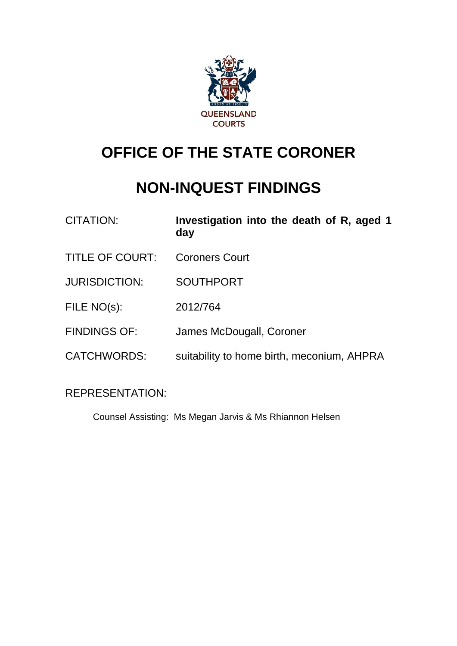

# **OFFICE OF THE STATE CORONER**

## **NON-INQUEST FINDINGS**

- CITATION: **Investigation into the death of R, aged 1 day**
- TITLE OF COURT: Coroners Court
- JURISDICTION: SOUTHPORT
- FILE NO(s): 2012/764
- FINDINGS OF: James McDougall, Coroner
- CATCHWORDS: suitability to home birth, meconium, AHPRA

### REPRESENTATION:

Counsel Assisting: Ms Megan Jarvis & Ms Rhiannon Helsen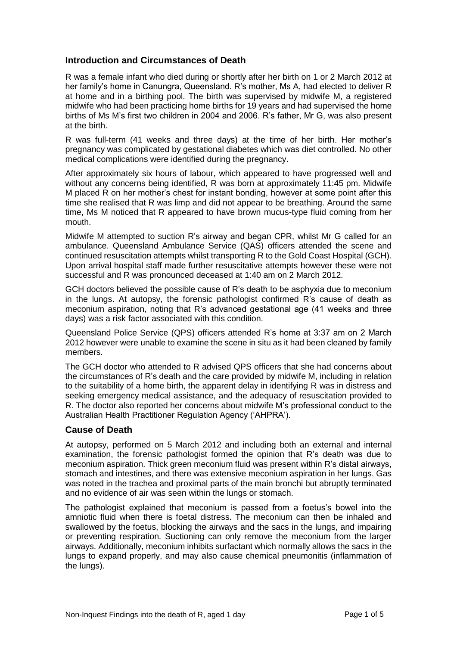#### **Introduction and Circumstances of Death**

R was a female infant who died during or shortly after her birth on 1 or 2 March 2012 at her family's home in Canungra, Queensland. R's mother, Ms A, had elected to deliver R at home and in a birthing pool. The birth was supervised by midwife M, a registered midwife who had been practicing home births for 19 years and had supervised the home births of Ms M's first two children in 2004 and 2006. R's father, Mr G, was also present at the birth.

R was full-term (41 weeks and three days) at the time of her birth. Her mother's pregnancy was complicated by gestational diabetes which was diet controlled. No other medical complications were identified during the pregnancy.

After approximately six hours of labour, which appeared to have progressed well and without any concerns being identified, R was born at approximately 11:45 pm. Midwife M placed R on her mother's chest for instant bonding, however at some point after this time she realised that R was limp and did not appear to be breathing. Around the same time, Ms M noticed that R appeared to have brown mucus-type fluid coming from her mouth.

Midwife M attempted to suction R's airway and began CPR, whilst Mr G called for an ambulance. Queensland Ambulance Service (QAS) officers attended the scene and continued resuscitation attempts whilst transporting R to the Gold Coast Hospital (GCH). Upon arrival hospital staff made further resuscitative attempts however these were not successful and R was pronounced deceased at 1:40 am on 2 March 2012.

GCH doctors believed the possible cause of R's death to be asphyxia due to meconium in the lungs. At autopsy, the forensic pathologist confirmed R's cause of death as meconium aspiration, noting that R's advanced gestational age (41 weeks and three days) was a risk factor associated with this condition.

Queensland Police Service (QPS) officers attended R's home at 3:37 am on 2 March 2012 however were unable to examine the scene in situ as it had been cleaned by family members.

The GCH doctor who attended to R advised QPS officers that she had concerns about the circumstances of R's death and the care provided by midwife M, including in relation to the suitability of a home birth, the apparent delay in identifying R was in distress and seeking emergency medical assistance, and the adequacy of resuscitation provided to R. The doctor also reported her concerns about midwife M's professional conduct to the Australian Health Practitioner Regulation Agency ('AHPRA').

#### **Cause of Death**

At autopsy, performed on 5 March 2012 and including both an external and internal examination, the forensic pathologist formed the opinion that R's death was due to meconium aspiration. Thick green meconium fluid was present within R's distal airways, stomach and intestines, and there was extensive meconium aspiration in her lungs. Gas was noted in the trachea and proximal parts of the main bronchi but abruptly terminated and no evidence of air was seen within the lungs or stomach.

The pathologist explained that meconium is passed from a foetus's bowel into the amniotic fluid when there is foetal distress. The meconium can then be inhaled and swallowed by the foetus, blocking the airways and the sacs in the lungs, and impairing or preventing respiration. Suctioning can only remove the meconium from the larger airways. Additionally, meconium inhibits surfactant which normally allows the sacs in the lungs to expand properly, and may also cause chemical pneumonitis (inflammation of the lungs).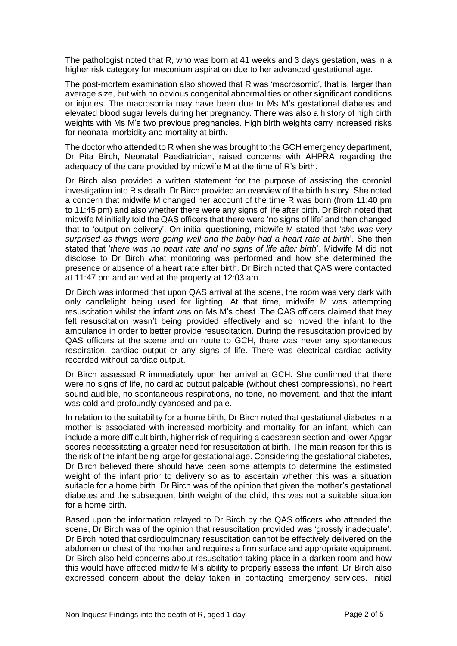The pathologist noted that R, who was born at 41 weeks and 3 days gestation, was in a higher risk category for meconium aspiration due to her advanced gestational age.

The post-mortem examination also showed that R was 'macrosomic', that is, larger than average size, but with no obvious congenital abnormalities or other significant conditions or injuries. The macrosomia may have been due to Ms M's gestational diabetes and elevated blood sugar levels during her pregnancy. There was also a history of high birth weights with Ms M's two previous pregnancies. High birth weights carry increased risks for neonatal morbidity and mortality at birth.

The doctor who attended to R when she was brought to the GCH emergency department, Dr Pita Birch, Neonatal Paediatrician, raised concerns with AHPRA regarding the adequacy of the care provided by midwife M at the time of R's birth.

Dr Birch also provided a written statement for the purpose of assisting the coronial investigation into R's death. Dr Birch provided an overview of the birth history. She noted a concern that midwife M changed her account of the time R was born (from 11:40 pm to 11:45 pm) and also whether there were any signs of life after birth. Dr Birch noted that midwife M initially told the QAS officers that there were 'no signs of life' and then changed that to 'output on delivery'. On initial questioning, midwife M stated that '*she was very surprised as things were going well and the baby had a heart rate at birth*'. She then stated that '*there was no heart rate and no signs of life after birth*'. Midwife M did not disclose to Dr Birch what monitoring was performed and how she determined the presence or absence of a heart rate after birth. Dr Birch noted that QAS were contacted at 11:47 pm and arrived at the property at 12:03 am.

Dr Birch was informed that upon QAS arrival at the scene, the room was very dark with only candlelight being used for lighting. At that time, midwife M was attempting resuscitation whilst the infant was on Ms M's chest. The QAS officers claimed that they felt resuscitation wasn't being provided effectively and so moved the infant to the ambulance in order to better provide resuscitation. During the resuscitation provided by QAS officers at the scene and on route to GCH, there was never any spontaneous respiration, cardiac output or any signs of life. There was electrical cardiac activity recorded without cardiac output.

Dr Birch assessed R immediately upon her arrival at GCH. She confirmed that there were no signs of life, no cardiac output palpable (without chest compressions), no heart sound audible, no spontaneous respirations, no tone, no movement, and that the infant was cold and profoundly cyanosed and pale.

In relation to the suitability for a home birth, Dr Birch noted that gestational diabetes in a mother is associated with increased morbidity and mortality for an infant, which can include a more difficult birth, higher risk of requiring a caesarean section and lower Apgar scores necessitating a greater need for resuscitation at birth. The main reason for this is the risk of the infant being large for gestational age. Considering the gestational diabetes, Dr Birch believed there should have been some attempts to determine the estimated weight of the infant prior to delivery so as to ascertain whether this was a situation suitable for a home birth. Dr Birch was of the opinion that given the mother's gestational diabetes and the subsequent birth weight of the child, this was not a suitable situation for a home birth.

Based upon the information relayed to Dr Birch by the QAS officers who attended the scene, Dr Birch was of the opinion that resuscitation provided was 'grossly inadequate'. Dr Birch noted that cardiopulmonary resuscitation cannot be effectively delivered on the abdomen or chest of the mother and requires a firm surface and appropriate equipment. Dr Birch also held concerns about resuscitation taking place in a darken room and how this would have affected midwife M's ability to properly assess the infant. Dr Birch also expressed concern about the delay taken in contacting emergency services. Initial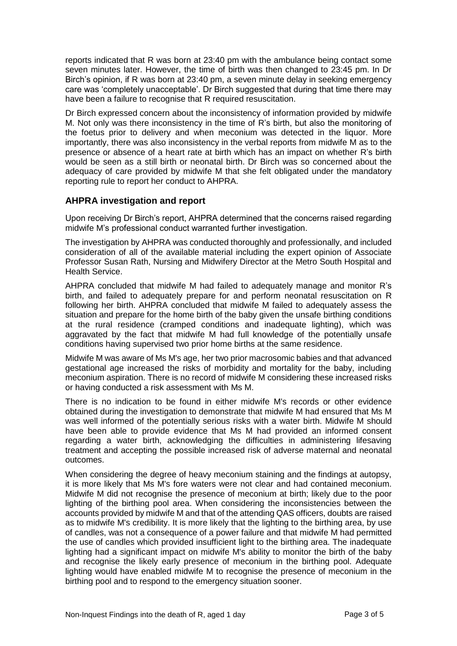reports indicated that R was born at 23:40 pm with the ambulance being contact some seven minutes later. However, the time of birth was then changed to 23:45 pm. In Dr Birch's opinion, if R was born at 23:40 pm, a seven minute delay in seeking emergency care was 'completely unacceptable'. Dr Birch suggested that during that time there may have been a failure to recognise that R required resuscitation.

Dr Birch expressed concern about the inconsistency of information provided by midwife M. Not only was there inconsistency in the time of R's birth, but also the monitoring of the foetus prior to delivery and when meconium was detected in the liquor. More importantly, there was also inconsistency in the verbal reports from midwife M as to the presence or absence of a heart rate at birth which has an impact on whether R's birth would be seen as a still birth or neonatal birth. Dr Birch was so concerned about the adequacy of care provided by midwife M that she felt obligated under the mandatory reporting rule to report her conduct to AHPRA.

#### **AHPRA investigation and report**

Upon receiving Dr Birch's report, AHPRA determined that the concerns raised regarding midwife M's professional conduct warranted further investigation.

The investigation by AHPRA was conducted thoroughly and professionally, and included consideration of all of the available material including the expert opinion of Associate Professor Susan Rath, Nursing and Midwifery Director at the Metro South Hospital and Health Service.

AHPRA concluded that midwife M had failed to adequately manage and monitor R's birth, and failed to adequately prepare for and perform neonatal resuscitation on R following her birth. AHPRA concluded that midwife M failed to adequately assess the situation and prepare for the home birth of the baby given the unsafe birthing conditions at the rural residence (cramped conditions and inadequate lighting), which was aggravated by the fact that midwife M had full knowledge of the potentially unsafe conditions having supervised two prior home births at the same residence.

Midwife M was aware of Ms M's age, her two prior macrosomic babies and that advanced gestational age increased the risks of morbidity and mortality for the baby, including meconium aspiration. There is no record of midwife M considering these increased risks or having conducted a risk assessment with Ms M.

There is no indication to be found in either midwife M's records or other evidence obtained during the investigation to demonstrate that midwife M had ensured that Ms M was well informed of the potentially serious risks with a water birth. Midwife M should have been able to provide evidence that Ms M had provided an informed consent regarding a water birth, acknowledging the difficulties in administering lifesaving treatment and accepting the possible increased risk of adverse maternal and neonatal outcomes.

When considering the degree of heavy meconium staining and the findings at autopsy, it is more likely that Ms M's fore waters were not clear and had contained meconium. Midwife M did not recognise the presence of meconium at birth; likely due to the poor lighting of the birthing pool area. When considering the inconsistencies between the accounts provided by midwife M and that of the attending QAS officers, doubts are raised as to midwife M's credibility. It is more likely that the lighting to the birthing area, by use of candles, was not a consequence of a power failure and that midwife M had permitted the use of candles which provided insufficient light to the birthing area. The inadequate lighting had a significant impact on midwife M's ability to monitor the birth of the baby and recognise the likely early presence of meconium in the birthing pool. Adequate lighting would have enabled midwife M to recognise the presence of meconium in the birthing pool and to respond to the emergency situation sooner.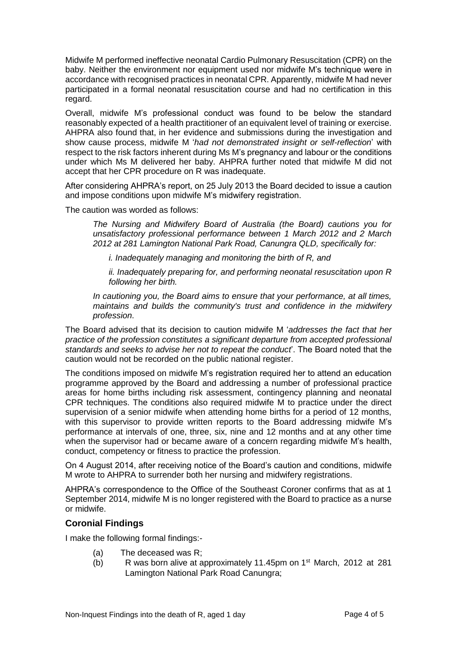Midwife M performed ineffective neonatal Cardio Pulmonary Resuscitation (CPR) on the baby. Neither the environment nor equipment used nor midwife M's technique were in accordance with recognised practices in neonatal CPR. Apparently, midwife M had never participated in a formal neonatal resuscitation course and had no certification in this regard.

Overall, midwife M's professional conduct was found to be below the standard reasonably expected of a health practitioner of an equivalent level of training or exercise. AHPRA also found that, in her evidence and submissions during the investigation and show cause process, midwife M '*had not demonstrated insight or self-reflection*' with respect to the risk factors inherent during Ms M's pregnancy and labour or the conditions under which Ms M delivered her baby. AHPRA further noted that midwife M did not accept that her CPR procedure on R was inadequate.

After considering AHPRA's report, on 25 July 2013 the Board decided to issue a caution and impose conditions upon midwife M's midwifery registration.

The caution was worded as follows:

*The Nursing and Midwifery Board of Australia (the Board) cautions you for unsatisfactory professional performance between 1 March 2012 and 2 March 2012 at 281 Lamington National Park Road, Canungra QLD, specifically for:*

*i. Inadequately managing and monitoring the birth of R, and*

*ii. Inadequately preparing for, and performing neonatal resuscitation upon R following her birth.*

*In cautioning you, the Board aims to ensure that your performance, at all times, maintains and builds the community's trust and confidence in the midwifery profession*.

The Board advised that its decision to caution midwife M '*addresses the fact that her practice of the profession constitutes a significant departure from accepted professional standards and seeks to advise her not to repeat the conduct*'. The Board noted that the caution would not be recorded on the public national register.

The conditions imposed on midwife M's registration required her to attend an education programme approved by the Board and addressing a number of professional practice areas for home births including risk assessment, contingency planning and neonatal CPR techniques. The conditions also required midwife M to practice under the direct supervision of a senior midwife when attending home births for a period of 12 months, with this supervisor to provide written reports to the Board addressing midwife M's performance at intervals of one, three, six, nine and 12 months and at any other time when the supervisor had or became aware of a concern regarding midwife M's health, conduct, competency or fitness to practice the profession.

On 4 August 2014, after receiving notice of the Board's caution and conditions, midwife M wrote to AHPRA to surrender both her nursing and midwifery registrations.

AHPRA's correspondence to the Office of the Southeast Coroner confirms that as at 1 September 2014, midwife M is no longer registered with the Board to practice as a nurse or midwife.

#### **Coronial Findings**

I make the following formal findings:-

- (a) The deceased was R;
- (b) R was born alive at approximately 11.45pm on 1st March, 2012 at 281 Lamington National Park Road Canungra;